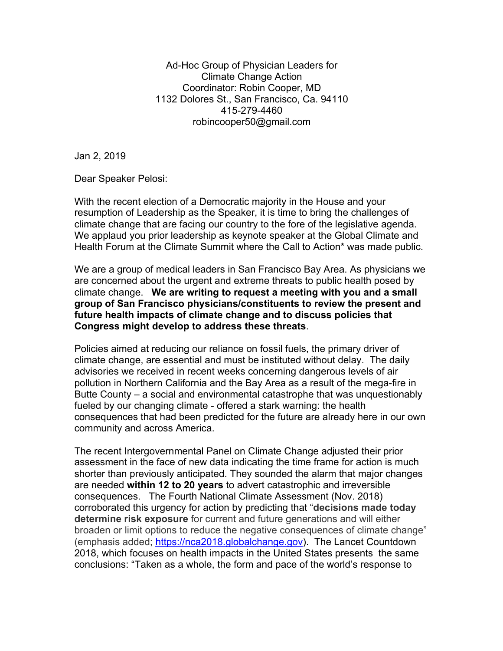Ad-Hoc Group of Physician Leaders for Climate Change Action Coordinator: Robin Cooper, MD 1132 Dolores St., San Francisco, Ca. 94110 415-279-4460 robincooper50@gmail.com

Jan 2, 2019

Dear Speaker Pelosi:

With the recent election of a Democratic majority in the House and your resumption of Leadership as the Speaker, it is time to bring the challenges of climate change that are facing our country to the fore of the legislative agenda. We applaud you prior leadership as keynote speaker at the Global Climate and Health Forum at the Climate Summit where the Call to Action\* was made public.

We are a group of medical leaders in San Francisco Bay Area. As physicians we are concerned about the urgent and extreme threats to public health posed by climate change. **We are writing to request a meeting with you and a small group of San Francisco physicians/constituents to review the present and future health impacts of climate change and to discuss policies that Congress might develop to address these threats**.

Policies aimed at reducing our reliance on fossil fuels, the primary driver of climate change, are essential and must be instituted without delay. The daily advisories we received in recent weeks concerning dangerous levels of air pollution in Northern California and the Bay Area as a result of the mega-fire in Butte County – a social and environmental catastrophe that was unquestionably fueled by our changing climate - offered a stark warning: the health consequences that had been predicted for the future are already here in our own community and across America.

The recent Intergovernmental Panel on Climate Change adjusted their prior assessment in the face of new data indicating the time frame for action is much shorter than previously anticipated. They sounded the alarm that major changes are needed **within 12 to 20 years** to advert catastrophic and irreversible consequences. The Fourth National Climate Assessment (Nov. 2018) corroborated this urgency for action by predicting that "**decisions made today determine risk exposure** for current and future generations and will either broaden or limit options to reduce the negative consequences of climate change" (emphasis added; https://nca2018.globalchange.gov). The Lancet Countdown 2018, which focuses on health impacts in the United States presents the same conclusions: "Taken as a whole, the form and pace of the world's response to